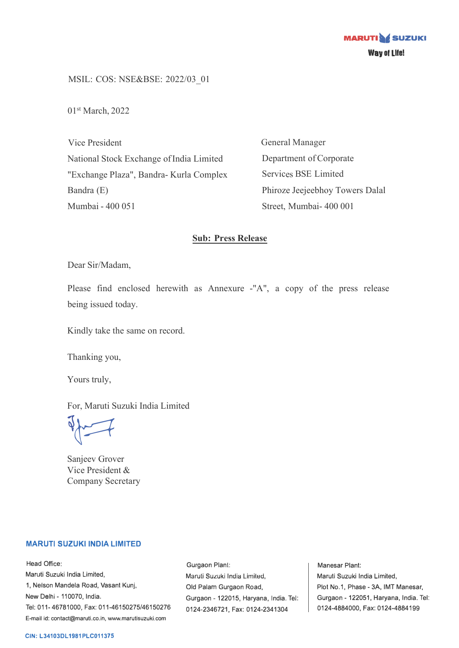MSIL: COS: NSE&BSE: 2022/03\_01

01st March, 2022

Vice President National Stock Exchange of India Limited "Exchange Plaza", Bandra- Kurla Complex Bandra (E) Mumbai - 400 051

General Manager Department of Corporate Services BSE Limited Phiroze Jeejeebhoy Towers Dalal Street, Mumbai- 400 001

## **Sub: Press Release**

Dear Sir/Madam,

Please find enclosed herewith as Annexure -"A", a copy of the press release being issued today.

Kindly take the same on record.

Thanking you,

Yours truly,

For, Maruti Suzuki India Limited

 $\sqrt{2}$ 

Sanjeev Grover Vice President & Company Secretary

#### **MARUTI SUZUKI INDIA LIMITED**

Head Office: Maruti Suzuki India Limited, 1, Nelson Mandela Road, Vasant Kunj, New Delhi - 110070, India. Tel: 011-46781000, Fax: 011-46150275/46150276 E-mail id: contact@maruti.co.in, www.marutisuzuki.com

Gurgaon Plant: Maruli Suzuki India Lirniled, Old Palam Gurgaon Road, Gurgaon - 122015, Haryana, India. Tel: 0124-2346721, Fax: 0124-2341304

Manesar Plant: Maruti Suzuki India Limited, Plot No.1, Phase - 3A, IMT Manesar, Gurgaon - 122051, Haryana, India. Tel: 0124-4884000, Fax: 0124-4884199

#### **CIN: L34103DL1981PLC011375**